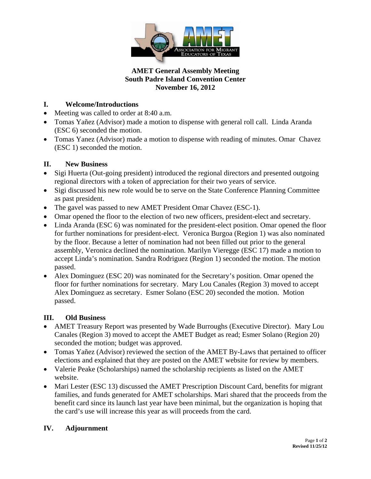

#### **AMET General Assembly Meeting South Padre Island Convention Center November 16, 2012**

# **I. Welcome/Introductions**

- Meeting was called to order at 8:40 a.m.
- Tomas Yañez (Advisor) made a motion to dispense with general roll call. Linda Aranda (ESC 6) seconded the motion.
- Tomas Yanez (Advisor) made a motion to dispense with reading of minutes. Omar Chavez (ESC 1) seconded the motion.

## **II. New Business**

- Sigi Huerta (Out-going president) introduced the regional directors and presented outgoing regional directors with a token of appreciation for their two years of service.
- Sigi discussed his new role would be to serve on the State Conference Planning Committee as past president.
- The gavel was passed to new AMET President Omar Chavez (ESC-1).
- Omar opened the floor to the election of two new officers, president-elect and secretary.
- Linda Aranda (ESC 6) was nominated for the president-elect position. Omar opened the floor for further nominations for president-elect. Veronica Burgoa (Region 1) was also nominated by the floor. Because a letter of nomination had not been filled out prior to the general assembly, Veronica declined the nomination. Marilyn Vieregge (ESC 17) made a motion to accept Linda's nomination. Sandra Rodriguez (Region 1) seconded the motion. The motion passed.
- Alex Dominguez (ESC 20) was nominated for the Secretary's position. Omar opened the floor for further nominations for secretary. Mary Lou Canales (Region 3) moved to accept Alex Dominguez as secretary. Esmer Solano (ESC 20) seconded the motion. Motion passed.

### **III. Old Business**

- AMET Treasury Report was presented by Wade Burroughs (Executive Director). Mary Lou Canales (Region 3) moved to accept the AMET Budget as read; Esmer Solano (Region 20) seconded the motion; budget was approved.
- Tomas Yañez (Advisor) reviewed the section of the AMET By-Laws that pertained to officer elections and explained that they are posted on the AMET website for review by members.
- Valerie Peake (Scholarships) named the scholarship recipients as listed on the AMET website.
- Mari Lester (ESC 13) discussed the AMET Prescription Discount Card, benefits for migrant families, and funds generated for AMET scholarships. Mari shared that the proceeds from the benefit card since its launch last year have been minimal, but the organization is hoping that the card's use will increase this year as will proceeds from the card.

### **IV. Adjournment**